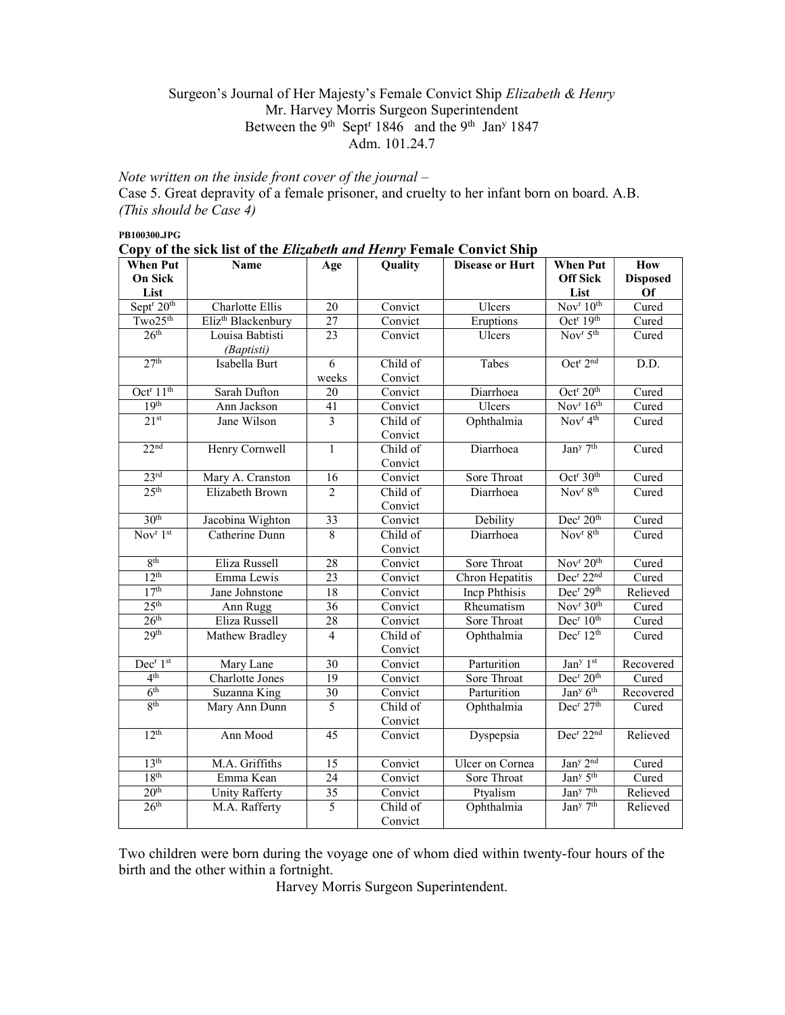## Surgeon's Journal of Her Majesty's Female Convict Ship Elizabeth & Henry Mr. Harvey Morris Surgeon Superintendent Between the 9<sup>th</sup> Sept<sup>r</sup> 1846 and the 9<sup>th</sup> Jan<sup>y</sup> 1847 Adm. 101.24.7

Note written on the inside front cover of the journal  $-$ Case 5. Great depravity of a female prisoner, and cruelty to her infant born on board. A.B. (This should be Case 4)

PB100300.JPG

|  |  |  | Copy of the sick list of the <i>Elizabeth and Henry</i> Female Convict Ship |
|--|--|--|-----------------------------------------------------------------------------|
|  |  |  |                                                                             |

| <b>When Put</b>                    | Name                           | Age                     | Quality  | <b>Disease or Hurt</b> | <b>When Put</b>                          | How             |
|------------------------------------|--------------------------------|-------------------------|----------|------------------------|------------------------------------------|-----------------|
| <b>On Sick</b>                     |                                |                         |          |                        | <b>Off Sick</b>                          | <b>Disposed</b> |
| List                               |                                |                         |          |                        | List                                     | <b>Of</b>       |
| Sept <sup>r</sup> 20 <sup>th</sup> | <b>Charlotte Ellis</b>         | $\overline{20}$         | Convict  | Ulcers                 | Nov <sup>r</sup> 10 <sup>th</sup>        | Cured           |
| Two25 <sup>th</sup>                | Eliz <sup>th</sup> Blackenbury | $\overline{27}$         | Convict  | Eruptions              | Oct <sup>r</sup> 19 <sup>th</sup>        | Cured           |
| 26 <sup>th</sup>                   | Louisa Babtisti                | $\overline{23}$         | Convict  | Ulcers                 | Nov <sup>r</sup> $5th$                   | Cured           |
|                                    | (Baptisti)                     |                         |          |                        |                                          |                 |
| 27 <sup>th</sup>                   | Isabella Burt                  | 6                       | Child of | Tabes                  | Oct <sup>r</sup> 2 <sup>nd</sup>         | D.D.            |
|                                    |                                | weeks                   | Convict  |                        |                                          |                 |
| Oct <sup>r</sup> $11th$            | Sarah Dufton                   | 20                      | Convict  | Diarrhoea              | Oct <sup>r</sup> 20 <sup>th</sup>        | Cured           |
| 19 <sup>th</sup>                   | Ann Jackson                    | 41                      | Convict  | Ulcers                 | $\overline{\text{Nov}^r 16^{\text{th}}}$ | Cured           |
| 21 <sup>st</sup>                   | Jane Wilson                    | $\overline{\mathbf{3}}$ | Child of | Ophthalmia             | Nov <sup>r</sup> 4 <sup>th</sup>         | Cured           |
|                                    |                                |                         | Convict  |                        |                                          |                 |
| 22 <sup>nd</sup>                   | Henry Cornwell                 | $\mathbf{1}$            | Child of | Diarrhoea              | Jan <sup>y</sup> 7 <sup>th</sup>         | Cured           |
|                                    |                                |                         | Convict  |                        |                                          |                 |
| 23 <sup>rd</sup>                   | Mary A. Cranston               | $\overline{16}$         | Convict  | Sore Throat            | Oct <sup>r</sup> 30 <sup>th</sup>        | Cured           |
| 25 <sup>th</sup>                   | Elizabeth Brown                | $\overline{2}$          | Child of | Diarrhoea              | Nov <sup>r</sup> 8 <sup>th</sup>         | Cured           |
|                                    |                                |                         | Convict  |                        |                                          |                 |
| 30 <sup>th</sup>                   | Jacobina Wighton               | 33                      | Convict  | Debility               | Dec <sup>r</sup> 20 <sup>th</sup>        | Cured           |
| Nov $r$ 1st                        | Catherine Dunn                 | $\overline{8}$          | Child of | Diarrhoea              | Nov <sup>r</sup> 8 <sup>th</sup>         | Cured           |
|                                    |                                |                         | Convict  |                        |                                          |                 |
| 8 <sup>th</sup>                    | Eliza Russell                  | 28                      | Convict  | Sore Throat            | Nov <sup>r</sup> 20 <sup>th</sup>        | Cured           |
| 12 <sup>th</sup>                   | Emma Lewis                     | 23                      | Convict  | Chron Hepatitis        | Dec <sup>r</sup> 22 <sup>nd</sup>        | Cured           |
| 17 <sup>th</sup>                   | Jane Johnstone                 | 18                      | Convict  | <b>Incp Phthisis</b>   | Dec <sup>r</sup> 29 <sup>th</sup>        | Relieved        |
| 25 <sup>th</sup>                   | Ann Rugg                       | 36                      | Convict  | Rheumatism             | Nov <sup>r</sup> 30 <sup>th</sup>        | Cured           |
| 26 <sup>th</sup>                   | Eliza Russell                  | 28                      | Convict  | Sore Throat            | Dec <sup>r</sup> 10 <sup>th</sup>        | Cured           |
| 29 <sup>th</sup>                   | Mathew Bradley                 | $\overline{4}$          | Child of | Ophthalmia             | Dec <sup>r</sup> 12 <sup>th</sup>        | Cured           |
|                                    |                                |                         | Convict  |                        |                                          |                 |
| Dec <sup>r</sup> 1 <sup>st</sup>   | Mary Lane                      | 30                      | Convict  | Parturition            | Jan <sup>y</sup> 1st                     | Recovered       |
| 4 <sup>th</sup>                    | <b>Charlotte Jones</b>         | 19                      | Convict  | Sore Throat            | Dec <sup>r</sup> 20 <sup>th</sup>        | Cured           |
| 6 <sup>th</sup>                    | Suzanna King                   | 30                      | Convict  | Parturition            | Jan <sup>y</sup> 6 <sup>th</sup>         | Recovered       |
| 8 <sup>th</sup>                    | Mary Ann Dunn                  | 5                       | Child of | Ophthalmia             | Dec <sup>r</sup> 27 <sup>th</sup>        | Cured           |
|                                    |                                |                         | Convict  |                        |                                          |                 |
| 12 <sup>th</sup>                   | Ann Mood                       | 45                      | Convict  | Dyspepsia              | Dec <sup>r</sup> 22 <sup>nd</sup>        | Relieved        |
|                                    |                                |                         |          |                        |                                          |                 |
| 13 <sup>th</sup>                   | M.A. Griffiths                 | 15                      | Convict  | <b>Ulcer</b> on Cornea | Jan <sup>y</sup> 2 <sup>nd</sup>         | Cured           |
| 18 <sup>th</sup>                   | Emma Kean                      | 24                      | Convict  | Sore Throat            | Jan <sup>y</sup> 5 <sup>th</sup>         | Cured           |
| 20 <sup>th</sup>                   | Unity Rafferty                 | 35                      | Convict  | Ptyalism               | Jan <sup>y</sup> 7 <sup>th</sup>         | Relieved        |
| 26 <sup>th</sup>                   | M.A. Rafferty                  | 5                       | Child of | Ophthalmia             | Jan <sup>y</sup> 7 <sup>th</sup>         | Relieved        |
|                                    |                                |                         | Convict  |                        |                                          |                 |

Two children were born during the voyage one of whom died within twenty-four hours of the birth and the other within a fortnight.

Harvey Morris Surgeon Superintendent.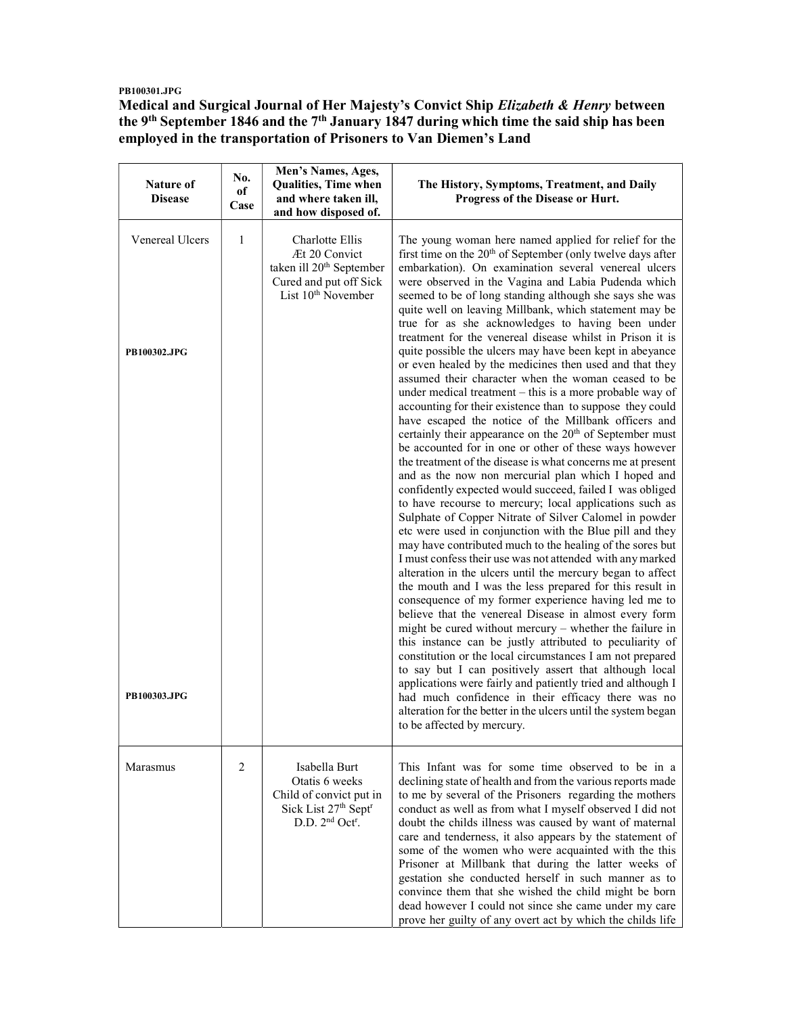## PB100301.JPG

Medical and Surgical Journal of Her Majesty's Convict Ship Elizabeth & Henry between the 9<sup>th</sup> September 1846 and the 7<sup>th</sup> January 1847 during which time the said ship has been employed in the transportation of Prisoners to Van Diemen's Land

| Nature of<br><b>Disease</b> | No.<br>оf<br>Case | Men's Names, Ages,<br>Qualities, Time when<br>and where taken ill,<br>and how disposed of.                                                | The History, Symptoms, Treatment, and Daily<br>Progress of the Disease or Hurt.                                                                                                                                                                                                                                                                                                                                                                                                                                                                                                                                                                                                                                                                                                                                                                                                                                                                                                                                                                                                                                                                                                                                                                                                                                                                                                                                                                                                                                                                       |
|-----------------------------|-------------------|-------------------------------------------------------------------------------------------------------------------------------------------|-------------------------------------------------------------------------------------------------------------------------------------------------------------------------------------------------------------------------------------------------------------------------------------------------------------------------------------------------------------------------------------------------------------------------------------------------------------------------------------------------------------------------------------------------------------------------------------------------------------------------------------------------------------------------------------------------------------------------------------------------------------------------------------------------------------------------------------------------------------------------------------------------------------------------------------------------------------------------------------------------------------------------------------------------------------------------------------------------------------------------------------------------------------------------------------------------------------------------------------------------------------------------------------------------------------------------------------------------------------------------------------------------------------------------------------------------------------------------------------------------------------------------------------------------------|
| Venereal Ulcers             | $\mathbf{1}$      | Charlotte Ellis<br>Æt 20 Convict<br>taken ill 20 <sup>th</sup> September<br>Cured and put off Sick<br>List 10 <sup>th</sup> November      | The young woman here named applied for relief for the<br>first time on the $20th$ of September (only twelve days after<br>embarkation). On examination several venereal ulcers<br>were observed in the Vagina and Labia Pudenda which<br>seemed to be of long standing although she says she was<br>quite well on leaving Millbank, which statement may be<br>true for as she acknowledges to having been under<br>treatment for the venereal disease whilst in Prison it is                                                                                                                                                                                                                                                                                                                                                                                                                                                                                                                                                                                                                                                                                                                                                                                                                                                                                                                                                                                                                                                                          |
| PB100302.JPG                |                   |                                                                                                                                           | quite possible the ulcers may have been kept in abeyance<br>or even healed by the medicines then used and that they<br>assumed their character when the woman ceased to be<br>under medical treatment – this is a more probable way of<br>accounting for their existence than to suppose they could<br>have escaped the notice of the Millbank officers and<br>certainly their appearance on the 20 <sup>th</sup> of September must<br>be accounted for in one or other of these ways however<br>the treatment of the disease is what concerns me at present<br>and as the now non mercurial plan which I hoped and<br>confidently expected would succeed, failed I was obliged<br>to have recourse to mercury; local applications such as<br>Sulphate of Copper Nitrate of Silver Calomel in powder<br>etc were used in conjunction with the Blue pill and they<br>may have contributed much to the healing of the sores but<br>I must confess their use was not attended with any marked<br>alteration in the ulcers until the mercury began to affect<br>the mouth and I was the less prepared for this result in<br>consequence of my former experience having led me to<br>believe that the venereal Disease in almost every form<br>might be cured without mercury $-$ whether the failure in<br>this instance can be justly attributed to peculiarity of<br>constitution or the local circumstances I am not prepared<br>to say but I can positively assert that although local<br>applications were fairly and patiently tried and although I |
| PB100303.JPG                |                   |                                                                                                                                           | had much confidence in their efficacy there was no<br>alteration for the better in the ulcers until the system began<br>to be affected by mercury.                                                                                                                                                                                                                                                                                                                                                                                                                                                                                                                                                                                                                                                                                                                                                                                                                                                                                                                                                                                                                                                                                                                                                                                                                                                                                                                                                                                                    |
| Marasmus                    | $\overline{c}$    | Isabella Burt<br>Otatis 6 weeks<br>Child of convict put in<br>Sick List 27th Sept <sup>r</sup><br>D.D. 2 <sup>nd</sup> Oct <sup>r</sup> . | This Infant was for some time observed to be in a<br>declining state of health and from the various reports made<br>to me by several of the Prisoners regarding the mothers<br>conduct as well as from what I myself observed I did not<br>doubt the childs illness was caused by want of maternal<br>care and tenderness, it also appears by the statement of<br>some of the women who were acquainted with the this<br>Prisoner at Millbank that during the latter weeks of<br>gestation she conducted herself in such manner as to<br>convince them that she wished the child might be born<br>dead however I could not since she came under my care<br>prove her guilty of any overt act by which the childs life                                                                                                                                                                                                                                                                                                                                                                                                                                                                                                                                                                                                                                                                                                                                                                                                                                 |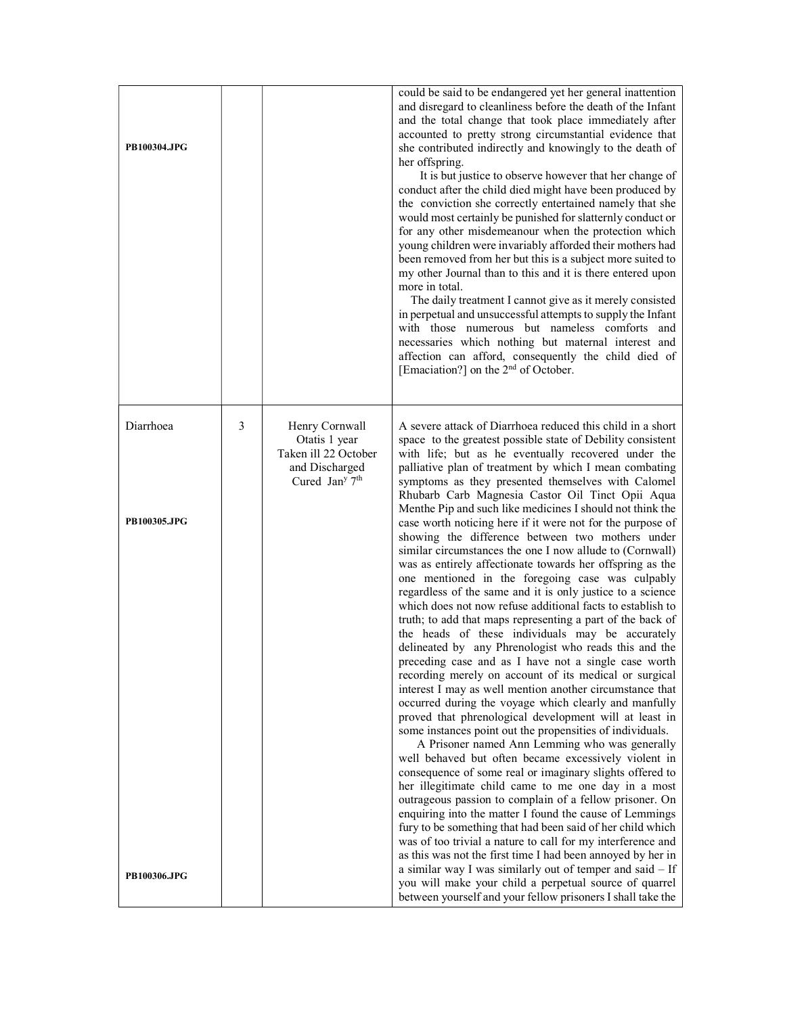| PB100304.JPG |   |                                                                                                         | could be said to be endangered yet her general inattention<br>and disregard to cleanliness before the death of the Infant<br>and the total change that took place immediately after<br>accounted to pretty strong circumstantial evidence that<br>she contributed indirectly and knowingly to the death of<br>her offspring.<br>It is but justice to observe however that her change of<br>conduct after the child died might have been produced by<br>the conviction she correctly entertained namely that she<br>would most certainly be punished for slatternly conduct or<br>for any other misdemeanour when the protection which<br>young children were invariably afforded their mothers had<br>been removed from her but this is a subject more suited to<br>my other Journal than to this and it is there entered upon<br>more in total.<br>The daily treatment I cannot give as it merely consisted<br>in perpetual and unsuccessful attempts to supply the Infant<br>with those numerous but nameless comforts and<br>necessaries which nothing but maternal interest and<br>affection can afford, consequently the child died of<br>[Emaciation?] on the 2 <sup>nd</sup> of October.                                                                                                                                                                                                                                                                                                                                                                              |
|--------------|---|---------------------------------------------------------------------------------------------------------|------------------------------------------------------------------------------------------------------------------------------------------------------------------------------------------------------------------------------------------------------------------------------------------------------------------------------------------------------------------------------------------------------------------------------------------------------------------------------------------------------------------------------------------------------------------------------------------------------------------------------------------------------------------------------------------------------------------------------------------------------------------------------------------------------------------------------------------------------------------------------------------------------------------------------------------------------------------------------------------------------------------------------------------------------------------------------------------------------------------------------------------------------------------------------------------------------------------------------------------------------------------------------------------------------------------------------------------------------------------------------------------------------------------------------------------------------------------------------------------------------------------------------------------------------------------------------|
| Diarrhoea    | 3 | Henry Cornwall<br>Otatis 1 year<br>Taken ill 22 October<br>and Discharged<br>Cured Jan <sup>y 7th</sup> | A severe attack of Diarrhoea reduced this child in a short<br>space to the greatest possible state of Debility consistent<br>with life; but as he eventually recovered under the<br>palliative plan of treatment by which I mean combating<br>symptoms as they presented themselves with Calomel<br>Rhubarb Carb Magnesia Castor Oil Tinct Opii Aqua                                                                                                                                                                                                                                                                                                                                                                                                                                                                                                                                                                                                                                                                                                                                                                                                                                                                                                                                                                                                                                                                                                                                                                                                                         |
| PB100305.JPG |   |                                                                                                         | Menthe Pip and such like medicines I should not think the<br>case worth noticing here if it were not for the purpose of<br>showing the difference between two mothers under<br>similar circumstances the one I now allude to (Cornwall)<br>was as entirely affectionate towards her offspring as the<br>one mentioned in the foregoing case was culpably<br>regardless of the same and it is only justice to a science<br>which does not now refuse additional facts to establish to<br>truth; to add that maps representing a part of the back of<br>the heads of these individuals may be accurately<br>delineated by any Phrenologist who reads this and the<br>preceding case and as I have not a single case worth<br>recording merely on account of its medical or surgical<br>interest I may as well mention another circumstance that<br>occurred during the voyage which clearly and manfully<br>proved that phrenological development will at least in<br>some instances point out the propensities of individuals.<br>A Prisoner named Ann Lemming who was generally<br>well behaved but often became excessively violent in<br>consequence of some real or imaginary slights offered to<br>her illegitimate child came to me one day in a most<br>outrageous passion to complain of a fellow prisoner. On<br>enquiring into the matter I found the cause of Lemmings<br>fury to be something that had been said of her child which<br>was of too trivial a nature to call for my interference and<br>as this was not the first time I had been annoyed by her in |
| PB100306.JPG |   |                                                                                                         | a similar way I was similarly out of temper and said - If<br>you will make your child a perpetual source of quarrel<br>between yourself and your fellow prisoners I shall take the                                                                                                                                                                                                                                                                                                                                                                                                                                                                                                                                                                                                                                                                                                                                                                                                                                                                                                                                                                                                                                                                                                                                                                                                                                                                                                                                                                                           |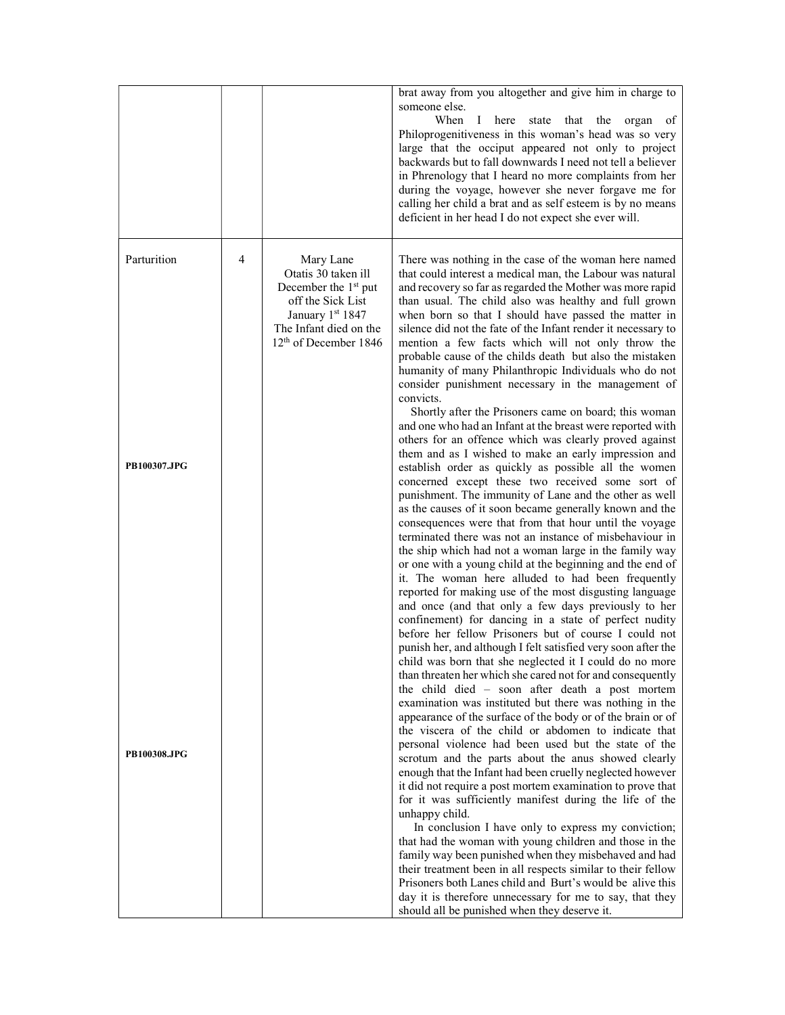|                             |   |                                                                                                                                                                              | brat away from you altogether and give him in charge to<br>someone else.<br>When<br>of<br>$\bf{I}$<br>here state that the organ<br>Philoprogenitiveness in this woman's head was so very<br>large that the occiput appeared not only to project<br>backwards but to fall downwards I need not tell a believer<br>in Phrenology that I heard no more complaints from her<br>during the voyage, however she never forgave me for<br>calling her child a brat and as self esteem is by no means<br>deficient in her head I do not expect she ever will.                                                                                                                                                                                                                                                                                                                                                                                                                                                                                                                                                                                                                                                                                                                                                                                                                                                                                                 |
|-----------------------------|---|------------------------------------------------------------------------------------------------------------------------------------------------------------------------------|------------------------------------------------------------------------------------------------------------------------------------------------------------------------------------------------------------------------------------------------------------------------------------------------------------------------------------------------------------------------------------------------------------------------------------------------------------------------------------------------------------------------------------------------------------------------------------------------------------------------------------------------------------------------------------------------------------------------------------------------------------------------------------------------------------------------------------------------------------------------------------------------------------------------------------------------------------------------------------------------------------------------------------------------------------------------------------------------------------------------------------------------------------------------------------------------------------------------------------------------------------------------------------------------------------------------------------------------------------------------------------------------------------------------------------------------------|
| Parturition<br>PB100307.JPG | 4 | Mary Lane<br>Otatis 30 taken ill<br>December the 1 <sup>st</sup> put<br>off the Sick List<br>January 1st 1847<br>The Infant died on the<br>12 <sup>th</sup> of December 1846 | There was nothing in the case of the woman here named<br>that could interest a medical man, the Labour was natural<br>and recovery so far as regarded the Mother was more rapid<br>than usual. The child also was healthy and full grown<br>when born so that I should have passed the matter in<br>silence did not the fate of the Infant render it necessary to<br>mention a few facts which will not only throw the<br>probable cause of the childs death but also the mistaken<br>humanity of many Philanthropic Individuals who do not<br>consider punishment necessary in the management of<br>convicts.<br>Shortly after the Prisoners came on board; this woman<br>and one who had an Infant at the breast were reported with<br>others for an offence which was clearly proved against<br>them and as I wished to make an early impression and<br>establish order as quickly as possible all the women<br>concerned except these two received some sort of<br>punishment. The immunity of Lane and the other as well<br>as the causes of it soon became generally known and the<br>consequences were that from that hour until the voyage<br>terminated there was not an instance of misbehaviour in<br>the ship which had not a woman large in the family way<br>or one with a young child at the beginning and the end of<br>it. The woman here alluded to had been frequently<br>reported for making use of the most disgusting language |
| PB100308.JPG                |   |                                                                                                                                                                              | and once (and that only a few days previously to her<br>confinement) for dancing in a state of perfect nudity<br>before her fellow Prisoners but of course I could not<br>punish her, and although I felt satisfied very soon after the<br>child was born that she neglected it I could do no more<br>than threaten her which she cared not for and consequently<br>the child died - soon after death a post mortem<br>examination was instituted but there was nothing in the<br>appearance of the surface of the body or of the brain or of<br>the viscera of the child or abdomen to indicate that<br>personal violence had been used but the state of the<br>scrotum and the parts about the anus showed clearly<br>enough that the Infant had been cruelly neglected however<br>it did not require a post mortem examination to prove that<br>for it was sufficiently manifest during the life of the<br>unhappy child.<br>In conclusion I have only to express my conviction;<br>that had the woman with young children and those in the<br>family way been punished when they misbehaved and had<br>their treatment been in all respects similar to their fellow<br>Prisoners both Lanes child and Burt's would be alive this<br>day it is therefore unnecessary for me to say, that they<br>should all be punished when they deserve it.                                                                                                     |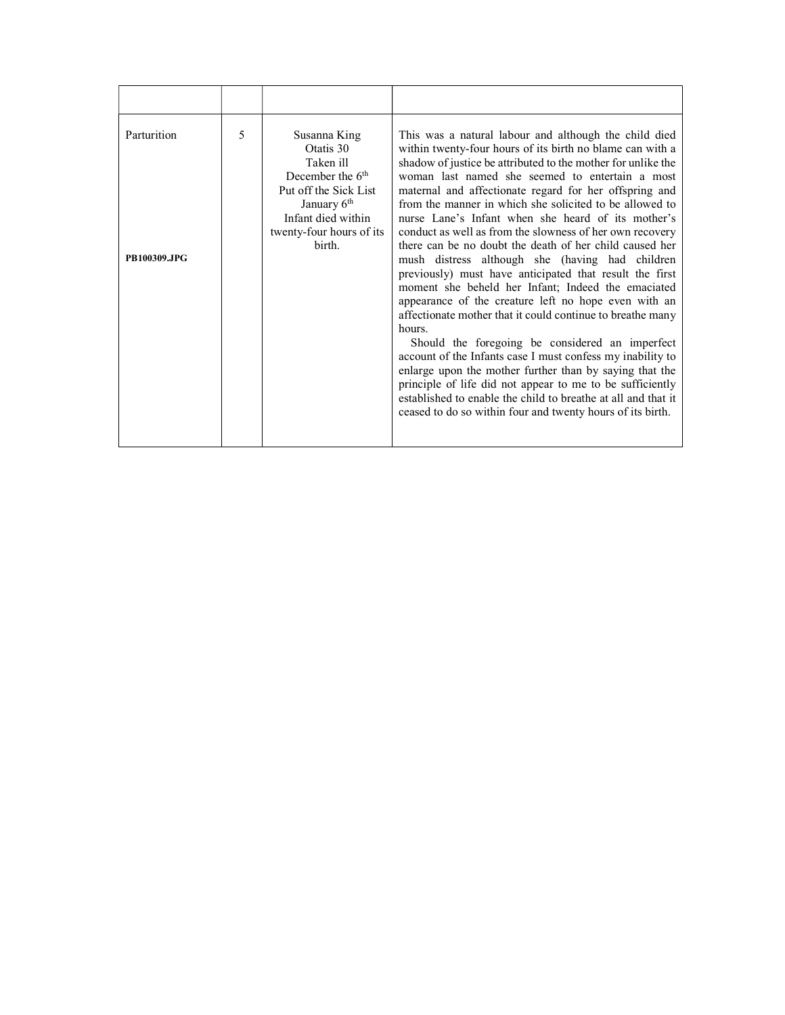| 5<br>Parturition<br>Susanna King<br>Otatis 30<br>Taken ill                                                                                                   |  |                                                                                                                                                                                                                                                                                                                                                                                                                                                                                                                                                                                                                                                                                                                                                                                                                                                                                                                                                                                                                                                                                                                                                                                                           |
|--------------------------------------------------------------------------------------------------------------------------------------------------------------|--|-----------------------------------------------------------------------------------------------------------------------------------------------------------------------------------------------------------------------------------------------------------------------------------------------------------------------------------------------------------------------------------------------------------------------------------------------------------------------------------------------------------------------------------------------------------------------------------------------------------------------------------------------------------------------------------------------------------------------------------------------------------------------------------------------------------------------------------------------------------------------------------------------------------------------------------------------------------------------------------------------------------------------------------------------------------------------------------------------------------------------------------------------------------------------------------------------------------|
| December the $6th$<br>Put off the Sick List<br>January 6 <sup>th</sup><br>Infant died within<br>twenty-four hours of its<br>birth.<br>PB100309.JPG<br>hours. |  | This was a natural labour and although the child died<br>within twenty-four hours of its birth no blame can with a<br>shadow of justice be attributed to the mother for unlike the<br>woman last named she seemed to entertain a most<br>maternal and affectionate regard for her offspring and<br>from the manner in which she solicited to be allowed to<br>nurse Lane's Infant when she heard of its mother's<br>conduct as well as from the slowness of her own recovery<br>there can be no doubt the death of her child caused her<br>mush distress although she (having had children<br>previously) must have anticipated that result the first<br>moment she beheld her Infant; Indeed the emaciated<br>appearance of the creature left no hope even with an<br>affectionate mother that it could continue to breathe many<br>Should the foregoing be considered an imperfect<br>account of the Infants case I must confess my inability to<br>enlarge upon the mother further than by saying that the<br>principle of life did not appear to me to be sufficiently<br>established to enable the child to breathe at all and that it<br>ceased to do so within four and twenty hours of its birth. |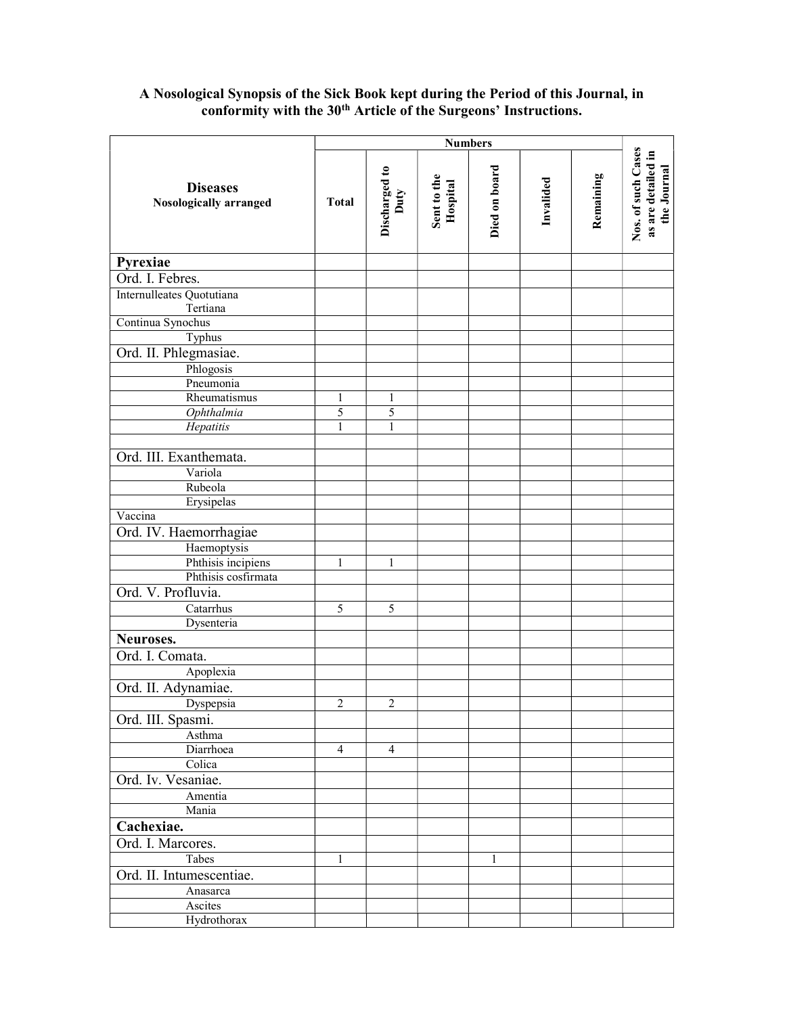## A Nosological Synopsis of the Sick Book kept during the Period of this Journal, in conformity with the 30<sup>th</sup> Article of the Surgeons' Instructions.

|                                           |                | <b>Numbers</b>        |                         |               |           |           |                                                         |  |
|-------------------------------------------|----------------|-----------------------|-------------------------|---------------|-----------|-----------|---------------------------------------------------------|--|
| <b>Diseases</b><br>Nosologically arranged | <b>Total</b>   | Discharged to<br>Duty | Sent to the<br>Hospital | Died on board | Invalided | Remaining | Nos. of such Cases<br>as are detailed in<br>the Journal |  |
| Pyrexiae                                  |                |                       |                         |               |           |           |                                                         |  |
| Ord. I. Febres.                           |                |                       |                         |               |           |           |                                                         |  |
| Internulleates Quotutiana                 |                |                       |                         |               |           |           |                                                         |  |
| Tertiana                                  |                |                       |                         |               |           |           |                                                         |  |
| Continua Synochus                         |                |                       |                         |               |           |           |                                                         |  |
| Typhus                                    |                |                       |                         |               |           |           |                                                         |  |
| Ord. II. Phlegmasiae.                     |                |                       |                         |               |           |           |                                                         |  |
| Phlogosis                                 |                |                       |                         |               |           |           |                                                         |  |
| Pneumonia                                 |                |                       |                         |               |           |           |                                                         |  |
| Rheumatismus                              | 1              | 1                     |                         |               |           |           |                                                         |  |
| Ophthalmia                                | 5              | 5                     |                         |               |           |           |                                                         |  |
| Hepatitis                                 | 1              | $\mathbf{1}$          |                         |               |           |           |                                                         |  |
| Ord. III. Exanthemata.                    |                |                       |                         |               |           |           |                                                         |  |
| Variola                                   |                |                       |                         |               |           |           |                                                         |  |
| Rubeola                                   |                |                       |                         |               |           |           |                                                         |  |
| Erysipelas                                |                |                       |                         |               |           |           |                                                         |  |
| Vaccina                                   |                |                       |                         |               |           |           |                                                         |  |
| Ord. IV. Haemorrhagiae                    |                |                       |                         |               |           |           |                                                         |  |
|                                           |                |                       |                         |               |           |           |                                                         |  |
| Haemoptysis<br>Phthisis incipiens         | $\mathbf{1}$   | $\mathbf{1}$          |                         |               |           |           |                                                         |  |
| Phthisis cosfirmata                       |                |                       |                         |               |           |           |                                                         |  |
| Ord. V. Profluvia.                        |                |                       |                         |               |           |           |                                                         |  |
| Catarrhus                                 | 5              | 5                     |                         |               |           |           |                                                         |  |
| Dysenteria                                |                |                       |                         |               |           |           |                                                         |  |
|                                           |                |                       |                         |               |           |           |                                                         |  |
| Neuroses.                                 |                |                       |                         |               |           |           |                                                         |  |
| Ord. I. Comata.                           |                |                       |                         |               |           |           |                                                         |  |
| Apoplexia                                 |                |                       |                         |               |           |           |                                                         |  |
| Ord. II. Adynamiae.                       |                |                       |                         |               |           |           |                                                         |  |
| Dyspepsia                                 | 2              | $\overline{2}$        |                         |               |           |           |                                                         |  |
| Ord. III. Spasmi.                         |                |                       |                         |               |           |           |                                                         |  |
| Asthma                                    |                |                       |                         |               |           |           |                                                         |  |
| Diarrhoea                                 | $\overline{4}$ | $\overline{4}$        |                         |               |           |           |                                                         |  |
| Colica                                    |                |                       |                         |               |           |           |                                                         |  |
| Ord. Iv. Vesaniae.                        |                |                       |                         |               |           |           |                                                         |  |
| Amentia                                   |                |                       |                         |               |           |           |                                                         |  |
| Mania                                     |                |                       |                         |               |           |           |                                                         |  |
| Cachexiae.                                |                |                       |                         |               |           |           |                                                         |  |
| Ord. I. Marcores.                         |                |                       |                         |               |           |           |                                                         |  |
| Tabes                                     | 1              |                       |                         | $\mathbf{1}$  |           |           |                                                         |  |
| Ord. II. Intumescentiae.                  |                |                       |                         |               |           |           |                                                         |  |
| Anasarca                                  |                |                       |                         |               |           |           |                                                         |  |
| Ascites                                   |                |                       |                         |               |           |           |                                                         |  |
| Hydrothorax                               |                |                       |                         |               |           |           |                                                         |  |
|                                           |                |                       |                         |               |           |           |                                                         |  |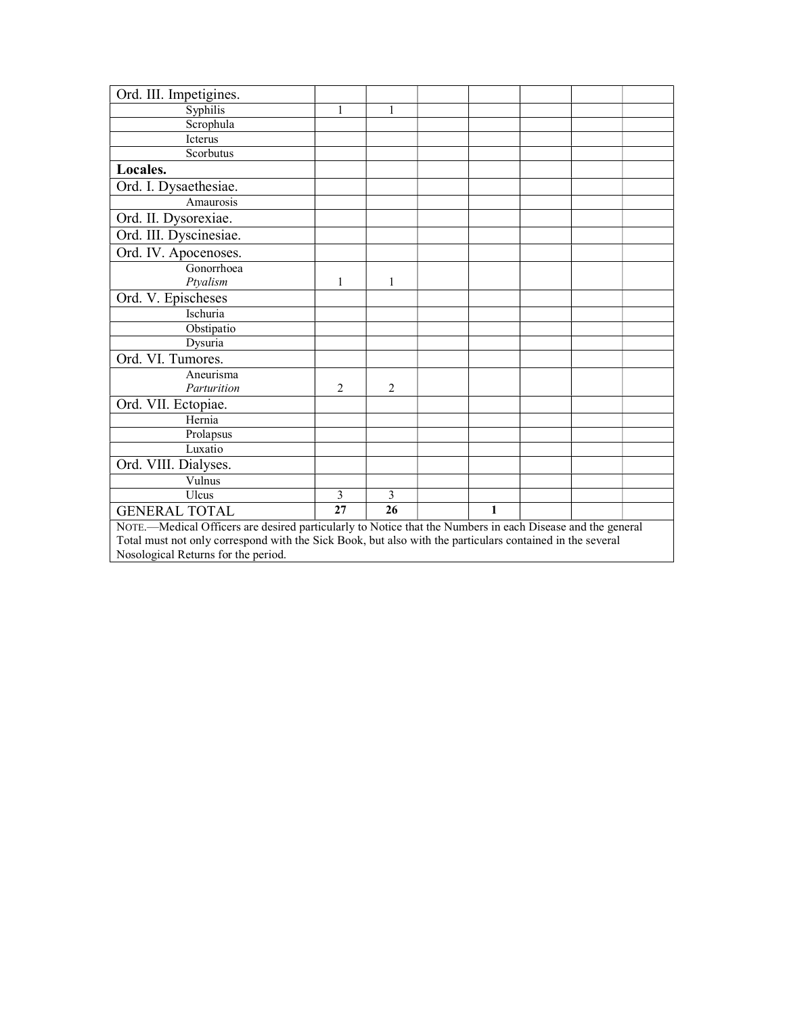| Ord. III. Impetigines.                                                                                     |                                     |                |  |   |  |  |  |  |  |
|------------------------------------------------------------------------------------------------------------|-------------------------------------|----------------|--|---|--|--|--|--|--|
| Syphilis                                                                                                   | 1                                   | 1              |  |   |  |  |  |  |  |
| Scrophula                                                                                                  |                                     |                |  |   |  |  |  |  |  |
| Icterus                                                                                                    |                                     |                |  |   |  |  |  |  |  |
| Scorbutus                                                                                                  |                                     |                |  |   |  |  |  |  |  |
| Locales.                                                                                                   |                                     |                |  |   |  |  |  |  |  |
| Ord. I. Dysaethesiae.                                                                                      |                                     |                |  |   |  |  |  |  |  |
| Amaurosis                                                                                                  |                                     |                |  |   |  |  |  |  |  |
| Ord. II. Dysorexiae.                                                                                       |                                     |                |  |   |  |  |  |  |  |
| Ord. III. Dyscinesiae.                                                                                     |                                     |                |  |   |  |  |  |  |  |
| Ord. IV. Apocenoses.                                                                                       |                                     |                |  |   |  |  |  |  |  |
| Gonorrhoea                                                                                                 |                                     |                |  |   |  |  |  |  |  |
| Ptyalism                                                                                                   | 1                                   | 1              |  |   |  |  |  |  |  |
| Ord. V. Epischeses                                                                                         |                                     |                |  |   |  |  |  |  |  |
| Ischuria                                                                                                   |                                     |                |  |   |  |  |  |  |  |
| Obstipatio                                                                                                 |                                     |                |  |   |  |  |  |  |  |
| Dysuria                                                                                                    |                                     |                |  |   |  |  |  |  |  |
| Ord. VI. Tumores.                                                                                          |                                     |                |  |   |  |  |  |  |  |
| Aneurisma                                                                                                  |                                     |                |  |   |  |  |  |  |  |
| Parturition                                                                                                | $\overline{2}$                      | $\overline{2}$ |  |   |  |  |  |  |  |
| Ord. VII. Ectopiae.                                                                                        |                                     |                |  |   |  |  |  |  |  |
| Hernia                                                                                                     |                                     |                |  |   |  |  |  |  |  |
| Prolapsus                                                                                                  |                                     |                |  |   |  |  |  |  |  |
| Luxatio                                                                                                    |                                     |                |  |   |  |  |  |  |  |
| Ord. VIII. Dialyses.                                                                                       |                                     |                |  |   |  |  |  |  |  |
| Vulnus                                                                                                     |                                     |                |  |   |  |  |  |  |  |
| Ulcus                                                                                                      | 3                                   | 3              |  |   |  |  |  |  |  |
| <b>GENERAL TOTAL</b>                                                                                       | 27                                  | 26             |  | 1 |  |  |  |  |  |
| NOTE.-Medical Officers are desired particularly to Notice that the Numbers in each Disease and the general |                                     |                |  |   |  |  |  |  |  |
| Total must not only correspond with the Sick Book, but also with the particulars contained in the several  |                                     |                |  |   |  |  |  |  |  |
|                                                                                                            | Nosological Returns for the period. |                |  |   |  |  |  |  |  |